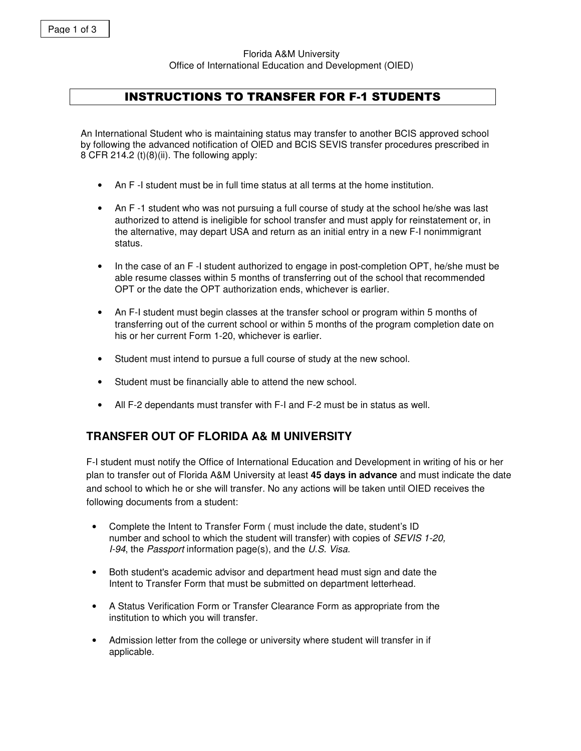Florida A&M University Office of International Education and Development (OIED)

# **INSTRUCTIONS TO TRANSFER FOR F-1 STUDENTS**

An International Student who is maintaining status may transfer to another BCIS approved school by following the advanced notification of OlED and BCIS SEVIS transfer procedures prescribed in 8 CFR 214.2 (t)(8)(ii). The following apply:

- An F -I student must be in full time status at all terms at the home institution.
- An F-1 student who was not pursuing a full course of study at the school he/she was last authorized to attend is ineligible for school transfer and must apply for reinstatement or, in the alternative, may depart USA and return as an initial entry in a new F-I nonimmigrant status.
- In the case of an F -I student authorized to engage in post-completion OPT, he/she must be able resume classes within 5 months of transferring out of the school that recommended OPT or the date the OPT authorization ends, whichever is earlier.
- An F-I student must begin classes at the transfer school or program within 5 months of transferring out of the current school or within 5 months of the program completion date on his or her current Form 1-20, whichever is earlier.
- Student must intend to pursue a full course of study at the new school.
- Student must be financially able to attend the new school.
- All F-2 dependants must transfer with F-I and F-2 must be in status as well.

# **TRANSFER OUT OF FLORIDA A& M UNIVERSITY**

F-I student must notify the Office of International Education and Development in writing of his or her plan to transfer out of Florida A&M University at least **45 days in advance** and must indicate the date and school to which he or she will transfer. No any actions will be taken until OIED receives the following documents from a student:

- Complete the Intent to Transfer Form ( must include the date, student's ID number and school to which the student will transfer) with copies of *SEVIS 1-20, I-94*, the *Passport* information page(s), and the *U.S. Visa.*
- Both student's academic advisor and department head must sign and date the Intent to Transfer Form that must be submitted on department letterhead.
- A Status Verification Form or Transfer Clearance Form as appropriate from the institution to which you will transfer.
- Admission letter from the college or university where student will transfer in if applicable.